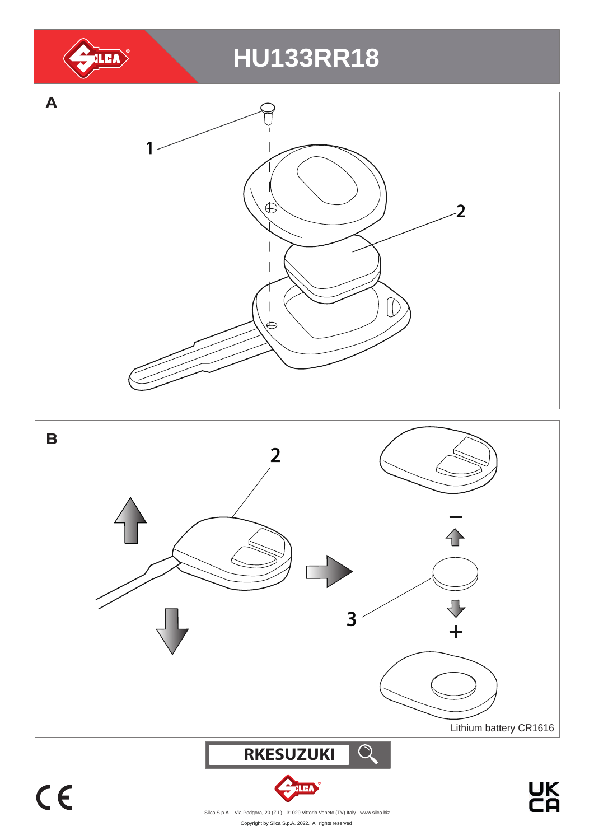

 **RKESUZUKI**  $\bigcirc$ 

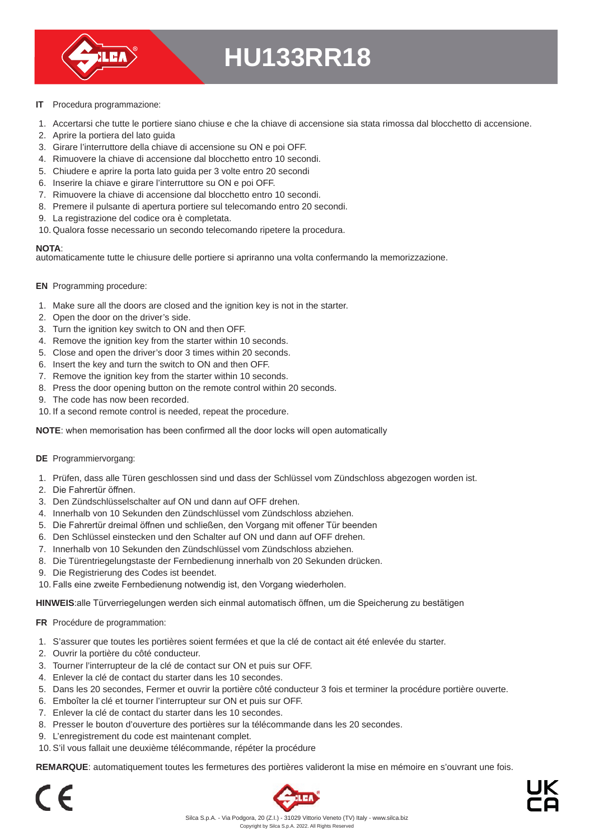

- **IT** Procedura programmazione:
- 1. Accertarsi che tutte le portiere siano chiuse e che la chiave di accensione sia stata rimossa dal blocchetto di accensione.
- 2. Aprire la portiera del lato guida
- 3. Girare l'interruttore della chiave di accensione su ON e poi OFF.
- 4. Rimuovere la chiave di accensione dal blocchetto entro 10 secondi.
- 5. Chiudere e aprire la porta lato guida per 3 volte entro 20 secondi
- 6. Inserire la chiave e girare l'interruttore su ON e poi OFF.
- 7. Rimuovere la chiave di accensione dal blocchetto entro 10 secondi.
- 8. Premere il pulsante di apertura portiere sul telecomando entro 20 secondi.
- 9. La registrazione del codice ora è completata.
- 10. Qualora fosse necessario un secondo telecomando ripetere la procedura.

#### **NOTA**:

automaticamente tutte le chiusure delle portiere si apriranno una volta confermando la memorizzazione.

- **EN** Programming procedure:
- 1. Make sure all the doors are closed and the ignition key is not in the starter.
- 2. Open the door on the driver's side.
- 3. Turn the ignition key switch to ON and then OFF.
- 4. Remove the ignition key from the starter within 10 seconds.
- 5. Close and open the driver's door 3 times within 20 seconds.
- 6. Insert the key and turn the switch to ON and then OFF.
- 7. Remove the ignition key from the starter within 10 seconds.
- 8. Press the door opening button on the remote control within 20 seconds.
- 9. The code has now been recorded.
- 10. If a second remote control is needed, repeat the procedure.

**NOTE**: when memorisation has been confirmed all the door locks will open automatically

- **DE** Programmiervorgang:
- 1. Prüfen, dass alle Türen geschlossen sind und dass der Schlüssel vom Zündschloss abgezogen worden ist.
- 2. Die Fahrertür öffnen.
- 3. Den Zündschlüsselschalter auf ON und dann auf OFF drehen.
- 4. Innerhalb von 10 Sekunden den Zündschlüssel vom Zündschloss abziehen.
- 5. Die Fahrertür dreimal öffnen und schließen, den Vorgang mit offener Tür beenden
- 6. Den Schlüssel einstecken und den Schalter auf ON und dann auf OFF drehen.
- 7. Innerhalb von 10 Sekunden den Zündschlüssel vom Zündschloss abziehen.
- 8. Die Türentriegelungstaste der Fernbedienung innerhalb von 20 Sekunden drücken.
- 9. Die Registrierung des Codes ist beendet.
- 10. Falls eine zweite Fernbedienung notwendig ist, den Vorgang wiederholen.

**HINWEIS**:alle Türverriegelungen werden sich einmal automatisch öffnen, um die Speicherung zu bestätigen

- **FR** Procédure de programmation:
- 1. S'assurer que toutes les portières soient fermées et que la clé de contact ait été enlevée du starter.
- 2. Ouvrir la portière du côté conducteur.
- 3. Tourner l'interrupteur de la clé de contact sur ON et puis sur OFF.
- 4. Enlever la clé de contact du starter dans les 10 secondes.
- 5. Dans les 20 secondes, Fermer et ouvrir la portière côté conducteur 3 fois et terminer la procédure portière ouverte.
- 6. Emboîter la clé et tourner l'interrupteur sur ON et puis sur OFF.
- 7. Enlever la clé de contact du starter dans les 10 secondes.
- 8. Presser le bouton d'ouverture des portières sur la télécommande dans les 20 secondes.
- 9. L'enregistrement du code est maintenant complet.
- 10. S'il vous fallait une deuxième télécommande, répéter la procédure

**REMARQUE**: automatiquement toutes les fermetures des portières valideront la mise en mémoire en s'ouvrant une fois.

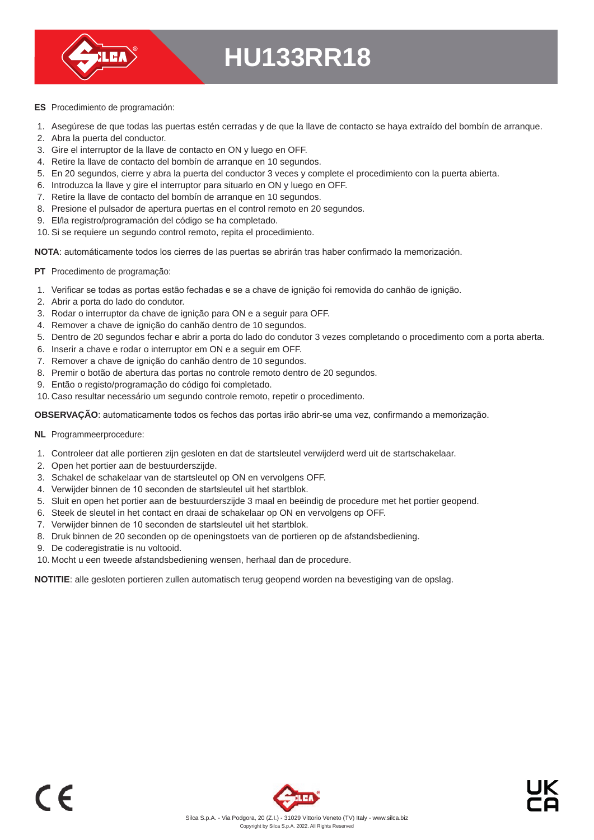

- **ES** Procedimiento de programación:
- 1. Asegúrese de que todas las puertas estén cerradas y de que la llave de contacto se haya extraído del bombín de arranque.
- 2. Abra la puerta del conductor.
- 3. Gire el interruptor de la llave de contacto en ON y luego en OFF.
- 4. Retire la llave de contacto del bombín de arranque en 10 segundos.
- 5. En 20 segundos, cierre y abra la puerta del conductor 3 veces y complete el procedimiento con la puerta abierta.
- 6. Introduzca la llave y gire el interruptor para situarlo en ON y luego en OFF.
- 7. Retire la llave de contacto del bombín de arranque en 10 segundos.
- 8. Presione el pulsador de apertura puertas en el control remoto en 20 segundos.
- 9. El/la registro/programación del código se ha completado.
- 10. Si se requiere un segundo control remoto, repita el procedimiento.

**NOTA**: automáticamente todos los cierres de las puertas se abrirán tras haber confirmado la memorización.

- **PT** Procedimento de programação:
- 1. Verificar se todas as portas estão fechadas e se a chave de ignição foi removida do canhão de ignição.
- 2. Abrir a porta do lado do condutor.
- 3. Rodar o interruptor da chave de ignição para ON e a seguir para OFF.
- 4. Remover a chave de ignição do canhão dentro de 10 segundos.
- 5. Dentro de 20 segundos fechar e abrir a porta do lado do condutor 3 vezes completando o procedimento com a porta aberta.
- 6. Inserir a chave e rodar o interruptor em ON e a seguir em OFF.
- 7. Remover a chave de ignição do canhão dentro de 10 segundos.
- 8. Premir o botão de abertura das portas no controle remoto dentro de 20 segundos.
- 9. Então o registo/programação do código foi completado.
- 10. Caso resultar necessário um segundo controle remoto, repetir o procedimento.

**OBSERVAÇÃO**: automaticamente todos os fechos das portas irão abrir-se uma vez, confirmando a memorização.

- **NL** Programmeerprocedure:
- 1. Controleer dat alle portieren zijn gesloten en dat de startsleutel verwijderd werd uit de startschakelaar.
- 2. Open het portier aan de bestuurderszijde.
- 3. Schakel de schakelaar van de startsleutel op ON en vervolgens OFF.
- 4. Verwijder binnen de 10 seconden de startsleutel uit het startblok.
- 5. Sluit en open het portier aan de bestuurderszijde 3 maal en beëindig de procedure met het portier geopend.
- 6. Steek de sleutel in het contact en draai de schakelaar op ON en vervolgens op OFF.
- 7. Verwijder binnen de 10 seconden de startsleutel uit het startblok.
- 8. Druk binnen de 20 seconden op de openingstoets van de portieren op de afstandsbediening.
- 9. De coderegistratie is nu voltooid.
- 10. Mocht u een tweede afstandsbediening wensen, herhaal dan de procedure.

**NOTITIE**: alle gesloten portieren zullen automatisch terug geopend worden na bevestiging van de opslag.

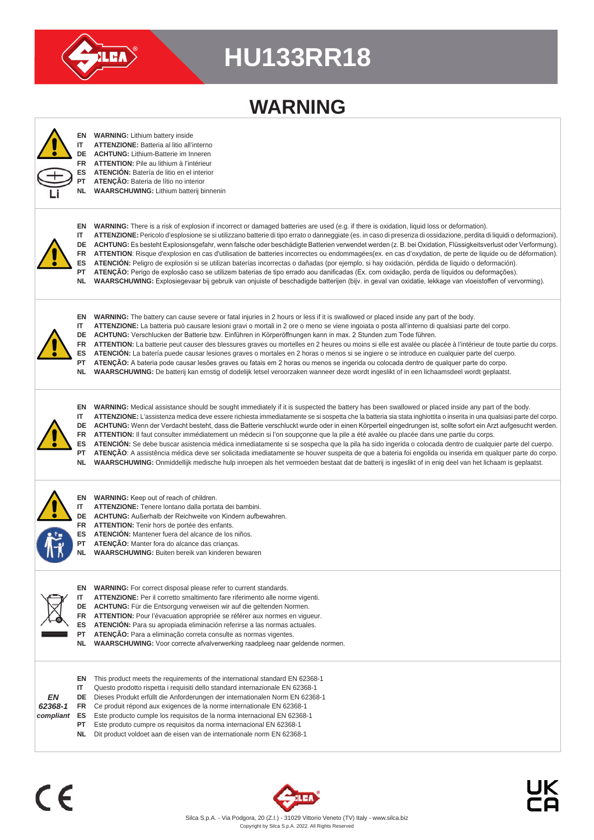

## **WARNING**